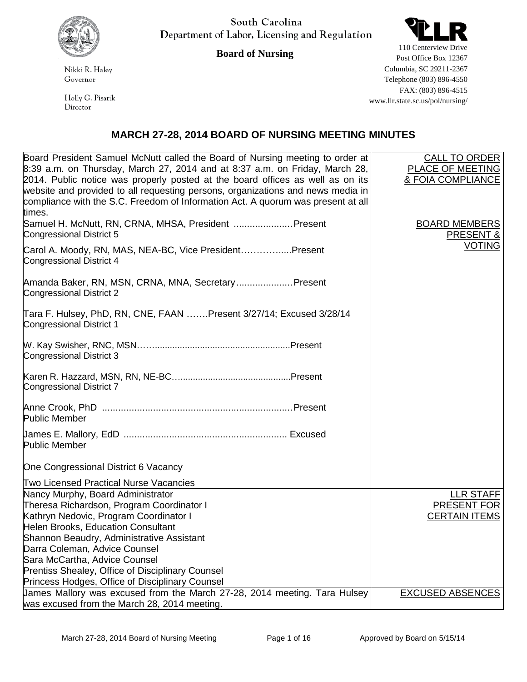

South Carolina Department of Labor, Licensing and Regulation



**Board of Nursing**

Nikki R. Haley Governor

Holly G. Pisarik Director

110 Centerview Drive Post Office Box 12367 Columbia, SC 29211-2367 Telephone (803) 896-4550 FAX: (803) 896-4515 www.llr.state.sc.us/pol/nursing/

## **MARCH 27-28, 2014 BOARD OF NURSING MEETING MINUTES**

| Board President Samuel McNutt called the Board of Nursing meeting to order at    | <b>CALL TO ORDER</b>    |
|----------------------------------------------------------------------------------|-------------------------|
| 8:39 a.m. on Thursday, March 27, 2014 and at 8:37 a.m. on Friday, March 28,      | PLACE OF MEETING        |
| 2014. Public notice was properly posted at the board offices as well as on its   | & FOIA COMPLIANCE       |
| website and provided to all requesting persons, organizations and news media in  |                         |
| compliance with the S.C. Freedom of Information Act. A quorum was present at all |                         |
| times.                                                                           |                         |
| Samuel H. McNutt, RN, CRNA, MHSA, President  Present                             | <b>BOARD MEMBERS</b>    |
| Congressional District 5                                                         | <b>PRESENT &amp;</b>    |
| Carol A. Moody, RN, MAS, NEA-BC, Vice PresidentPresent                           | <b>VOTING</b>           |
| Congressional District 4                                                         |                         |
|                                                                                  |                         |
| Amanda Baker, RN, MSN, CRNA, MNA, Secretary Present                              |                         |
| Congressional District 2                                                         |                         |
|                                                                                  |                         |
| Tara F. Hulsey, PhD, RN, CNE, FAAN Present 3/27/14; Excused 3/28/14              |                         |
| Congressional District 1                                                         |                         |
|                                                                                  |                         |
|                                                                                  |                         |
| Congressional District 3                                                         |                         |
|                                                                                  |                         |
|                                                                                  |                         |
| Congressional District 7                                                         |                         |
|                                                                                  |                         |
|                                                                                  |                         |
| <b>Public Member</b>                                                             |                         |
|                                                                                  |                         |
| <b>Public Member</b>                                                             |                         |
|                                                                                  |                         |
| One Congressional District 6 Vacancy                                             |                         |
| Two Licensed Practical Nurse Vacancies                                           |                         |
| Nancy Murphy, Board Administrator                                                | LLR STAFF               |
| Theresa Richardson, Program Coordinator I                                        | PRESENT FOR             |
| Kathryn Nedovic, Program Coordinator I                                           | <b>CERTAIN ITEMS</b>    |
| Helen Brooks, Education Consultant                                               |                         |
| Shannon Beaudry, Administrative Assistant                                        |                         |
| Darra Coleman, Advice Counsel                                                    |                         |
| Sara McCartha, Advice Counsel                                                    |                         |
| Prentiss Shealey, Office of Disciplinary Counsel                                 |                         |
| Princess Hodges, Office of Disciplinary Counsel                                  |                         |
| James Mallory was excused from the March 27-28, 2014 meeting. Tara Hulsey        | <b>EXCUSED ABSENCES</b> |
| was excused from the March 28, 2014 meeting.                                     |                         |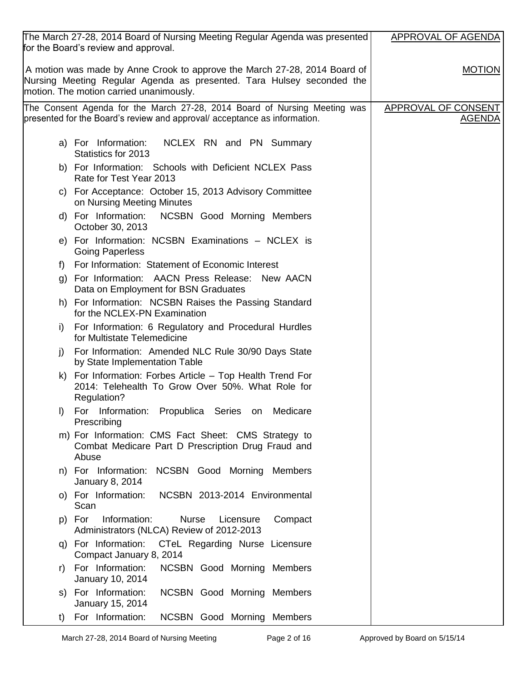| The March 27-28, 2014 Board of Nursing Meeting Regular Agenda was presented<br>for the Board's review and approval.                                                                           | <b>APPROVAL OF AGENDA</b>            |
|-----------------------------------------------------------------------------------------------------------------------------------------------------------------------------------------------|--------------------------------------|
| A motion was made by Anne Crook to approve the March 27-28, 2014 Board of<br>Nursing Meeting Regular Agenda as presented. Tara Hulsey seconded the<br>motion. The motion carried unanimously. | <b>MOTION</b>                        |
| The Consent Agenda for the March 27-28, 2014 Board of Nursing Meeting was<br>presented for the Board's review and approval/acceptance as information.                                         | APPROVAL OF CONSENT<br><b>AGENDA</b> |
| a) For Information:<br>NCLEX RN and PN Summary<br>Statistics for 2013                                                                                                                         |                                      |
| b) For Information: Schools with Deficient NCLEX Pass<br>Rate for Test Year 2013                                                                                                              |                                      |
| c) For Acceptance: October 15, 2013 Advisory Committee<br>on Nursing Meeting Minutes                                                                                                          |                                      |
| d) For Information: NCSBN Good Morning Members<br>October 30, 2013                                                                                                                            |                                      |
| e) For Information: NCSBN Examinations - NCLEX is<br><b>Going Paperless</b>                                                                                                                   |                                      |
| For Information: Statement of Economic Interest<br>f)                                                                                                                                         |                                      |
| For Information: AACN Press Release: New AACN<br>g)<br>Data on Employment for BSN Graduates                                                                                                   |                                      |
| h) For Information: NCSBN Raises the Passing Standard<br>for the NCLEX-PN Examination                                                                                                         |                                      |
| For Information: 6 Regulatory and Procedural Hurdles<br>i)<br>for Multistate Telemedicine                                                                                                     |                                      |
| For Information: Amended NLC Rule 30/90 Days State<br>j)<br>by State Implementation Table                                                                                                     |                                      |
| k) For Information: Forbes Article – Top Health Trend For<br>2014: Telehealth To Grow Over 50%. What Role for<br>Regulation?                                                                  |                                      |
| For Information: Propublica Series on<br>Medicare<br>$\vert$<br>Prescribing                                                                                                                   |                                      |
| m) For Information: CMS Fact Sheet: CMS Strategy to<br>Combat Medicare Part D Prescription Drug Fraud and<br>Abuse                                                                            |                                      |
| n) For Information: NCSBN Good Morning<br>Members<br>January 8, 2014                                                                                                                          |                                      |
| NCSBN 2013-2014 Environmental<br>o) For Information:<br>Scan                                                                                                                                  |                                      |
| p) For<br>Information:<br><b>Nurse</b><br>Licensure<br>Compact<br>Administrators (NLCA) Review of 2012-2013                                                                                   |                                      |
| q) For Information: CTeL Regarding Nurse Licensure<br>Compact January 8, 2014                                                                                                                 |                                      |
| For Information:<br><b>NCSBN Good Morning Members</b><br>r)<br>January 10, 2014                                                                                                               |                                      |
| s) For Information:<br><b>NCSBN Good Morning Members</b><br>January 15, 2014                                                                                                                  |                                      |
| For Information:<br>NCSBN Good Morning Members<br>t)                                                                                                                                          |                                      |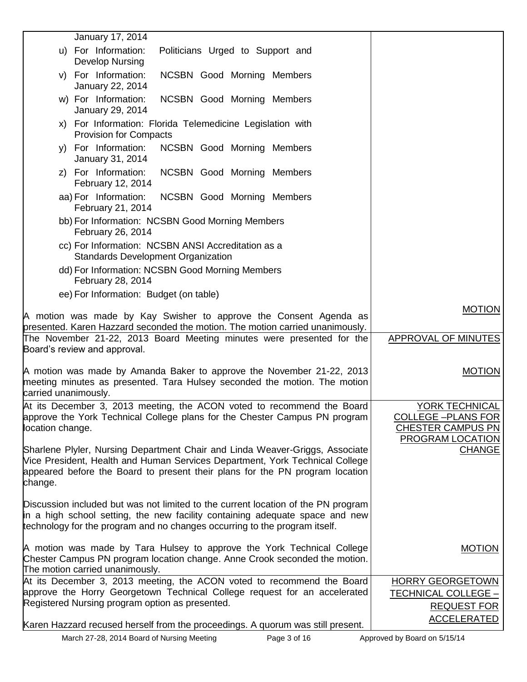| January 17, 2014                                                                                                                                                                                                                                |                                          |
|-------------------------------------------------------------------------------------------------------------------------------------------------------------------------------------------------------------------------------------------------|------------------------------------------|
| u) For Information:<br>Politicians Urged to Support and<br><b>Develop Nursing</b>                                                                                                                                                               |                                          |
| v) For Information:<br>NCSBN Good Morning Members<br>January 22, 2014                                                                                                                                                                           |                                          |
| w) For Information:<br>NCSBN Good Morning Members<br>January 29, 2014                                                                                                                                                                           |                                          |
| x) For Information: Florida Telemedicine Legislation with<br><b>Provision for Compacts</b>                                                                                                                                                      |                                          |
| For Information:<br>NCSBN Good Morning Members<br>V)<br>January 31, 2014                                                                                                                                                                        |                                          |
| z) For Information:<br>NCSBN Good Morning Members<br>February 12, 2014                                                                                                                                                                          |                                          |
| aa) For Information:<br>NCSBN Good Morning Members<br>February 21, 2014                                                                                                                                                                         |                                          |
| bb) For Information: NCSBN Good Morning Members<br>February 26, 2014                                                                                                                                                                            |                                          |
| cc) For Information: NCSBN ANSI Accreditation as a                                                                                                                                                                                              |                                          |
| <b>Standards Development Organization</b><br>dd) For Information: NCSBN Good Morning Members                                                                                                                                                    |                                          |
| February 28, 2014<br>ee) For Information: Budget (on table)                                                                                                                                                                                     |                                          |
| A motion was made by Kay Swisher to approve the Consent Agenda as                                                                                                                                                                               | <b>MOTION</b>                            |
| presented. Karen Hazzard seconded the motion. The motion carried unanimously.                                                                                                                                                                   |                                          |
| The November 21-22, 2013 Board Meeting minutes were presented for the<br>Board's review and approval.                                                                                                                                           | <b>APPROVAL OF MINUTES</b>               |
| A motion was made by Amanda Baker to approve the November 21-22, 2013<br>meeting minutes as presented. Tara Hulsey seconded the motion. The motion<br>carried unanimously.                                                                      | <b>MOTION</b>                            |
| At its December 3, 2013 meeting, the ACON voted to recommend the Board                                                                                                                                                                          | YORK TECHNICAL                           |
| approve the York Technical College plans for the Chester Campus PN program                                                                                                                                                                      | <b>COLLEGE -PLANS FOR</b>                |
| location change.                                                                                                                                                                                                                                | <b>CHESTER CAMPUS PN</b>                 |
| Sharlene Plyler, Nursing Department Chair and Linda Weaver-Griggs, Associate<br>Vice President, Health and Human Services Department, York Technical College                                                                                    | <b>PROGRAM LOCATION</b><br><b>CHANGE</b> |
| appeared before the Board to present their plans for the PN program location<br>change.                                                                                                                                                         |                                          |
| Discussion included but was not limited to the current location of the PN program<br>in a high school setting, the new facility containing adequate space and new<br>technology for the program and no changes occurring to the program itself. |                                          |
| A motion was made by Tara Hulsey to approve the York Technical College<br>Chester Campus PN program location change. Anne Crook seconded the motion.<br>The motion carried unanimously.                                                         | <b>MOTION</b>                            |
| At its December 3, 2013 meeting, the ACON voted to recommend the Board                                                                                                                                                                          | <b>HORRY GEORGETOWN</b>                  |
| approve the Horry Georgetown Technical College request for an accelerated                                                                                                                                                                       | <b>TECHNICAL COLLEGE -</b>               |
| Registered Nursing program option as presented.                                                                                                                                                                                                 | <b>REQUEST FOR</b>                       |
| Karen Hazzard recused herself from the proceedings. A quorum was still present.                                                                                                                                                                 | <b>ACCELERATED</b>                       |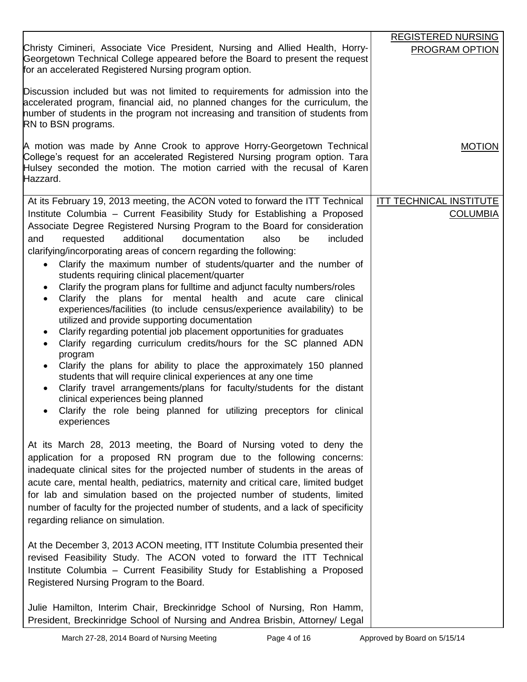|                                                                                                                                                                                                                                                                             | <b>REGISTERED NURSING</b>      |
|-----------------------------------------------------------------------------------------------------------------------------------------------------------------------------------------------------------------------------------------------------------------------------|--------------------------------|
| Christy Cimineri, Associate Vice President, Nursing and Allied Health, Horry-<br>Georgetown Technical College appeared before the Board to present the request<br>for an accelerated Registered Nursing program option.                                                     | PROGRAM OPTION                 |
| Discussion included but was not limited to requirements for admission into the<br>accelerated program, financial aid, no planned changes for the curriculum, the<br>number of students in the program not increasing and transition of students from<br>RN to BSN programs. |                                |
| A motion was made by Anne Crook to approve Horry-Georgetown Technical<br>College's request for an accelerated Registered Nursing program option. Tara<br>Hulsey seconded the motion. The motion carried with the recusal of Karen<br>Hazzard.                               | <b>MOTION</b>                  |
| At its February 19, 2013 meeting, the ACON voted to forward the ITT Technical                                                                                                                                                                                               | <b>ITT TECHNICAL INSTITUTE</b> |
| Institute Columbia - Current Feasibility Study for Establishing a Proposed                                                                                                                                                                                                  | <b>COLUMBIA</b>                |
| Associate Degree Registered Nursing Program to the Board for consideration                                                                                                                                                                                                  |                                |
| requested<br>additional<br>documentation<br>also<br>included<br>and<br>be                                                                                                                                                                                                   |                                |
| clarifying/incorporating areas of concern regarding the following:                                                                                                                                                                                                          |                                |
| Clarify the maximum number of students/quarter and the number of<br>$\bullet$<br>students requiring clinical placement/quarter                                                                                                                                              |                                |
| Clarify the program plans for fulltime and adjunct faculty numbers/roles<br>$\bullet$                                                                                                                                                                                       |                                |
| Clarify the plans for mental health and acute care clinical<br>$\bullet$                                                                                                                                                                                                    |                                |
| experiences/facilities (to include census/experience availability) to be                                                                                                                                                                                                    |                                |
| utilized and provide supporting documentation                                                                                                                                                                                                                               |                                |
| Clarify regarding potential job placement opportunities for graduates<br>$\bullet$<br>Clarify regarding curriculum credits/hours for the SC planned ADN<br>$\bullet$                                                                                                        |                                |
| program                                                                                                                                                                                                                                                                     |                                |
| Clarify the plans for ability to place the approximately 150 planned                                                                                                                                                                                                        |                                |
| students that will require clinical experiences at any one time                                                                                                                                                                                                             |                                |
| Clarify travel arrangements/plans for faculty/students for the distant<br>$\bullet$<br>clinical experiences being planned                                                                                                                                                   |                                |
| Clarify the role being planned for utilizing preceptors for clinical                                                                                                                                                                                                        |                                |
| experiences                                                                                                                                                                                                                                                                 |                                |
|                                                                                                                                                                                                                                                                             |                                |
| At its March 28, 2013 meeting, the Board of Nursing voted to deny the                                                                                                                                                                                                       |                                |
| application for a proposed RN program due to the following concerns:<br>inadequate clinical sites for the projected number of students in the areas of                                                                                                                      |                                |
| acute care, mental health, pediatrics, maternity and critical care, limited budget                                                                                                                                                                                          |                                |
| for lab and simulation based on the projected number of students, limited                                                                                                                                                                                                   |                                |
| number of faculty for the projected number of students, and a lack of specificity                                                                                                                                                                                           |                                |
| regarding reliance on simulation.                                                                                                                                                                                                                                           |                                |
|                                                                                                                                                                                                                                                                             |                                |
| At the December 3, 2013 ACON meeting, ITT Institute Columbia presented their                                                                                                                                                                                                |                                |
| revised Feasibility Study. The ACON voted to forward the ITT Technical<br>Institute Columbia - Current Feasibility Study for Establishing a Proposed                                                                                                                        |                                |
| Registered Nursing Program to the Board.                                                                                                                                                                                                                                    |                                |
|                                                                                                                                                                                                                                                                             |                                |
| Julie Hamilton, Interim Chair, Breckinridge School of Nursing, Ron Hamm,                                                                                                                                                                                                    |                                |
| President, Breckinridge School of Nursing and Andrea Brisbin, Attorney/ Legal                                                                                                                                                                                               |                                |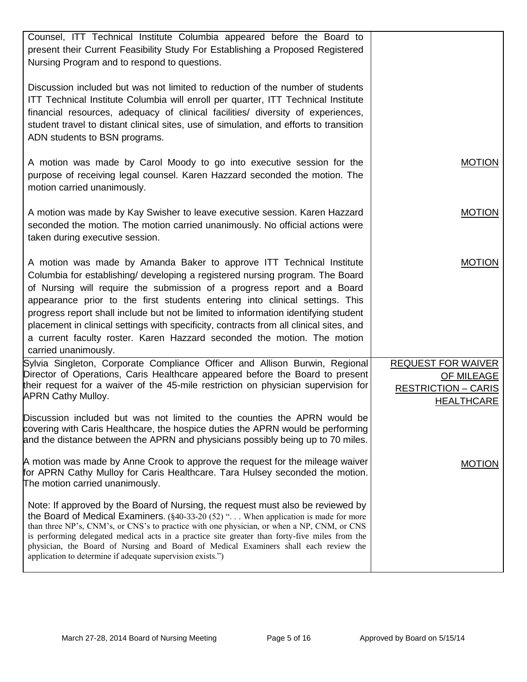| Counsel, ITT Technical Institute Columbia appeared before the Board to<br>present their Current Feasibility Study For Establishing a Proposed Registered<br>Nursing Program and to respond to questions.                                                                                                                                                                                                                                                                                                                                                                                              |                                                 |
|-------------------------------------------------------------------------------------------------------------------------------------------------------------------------------------------------------------------------------------------------------------------------------------------------------------------------------------------------------------------------------------------------------------------------------------------------------------------------------------------------------------------------------------------------------------------------------------------------------|-------------------------------------------------|
| Discussion included but was not limited to reduction of the number of students<br>ITT Technical Institute Columbia will enroll per quarter, ITT Technical Institute<br>financial resources, adequacy of clinical facilities/ diversity of experiences,<br>student travel to distant clinical sites, use of simulation, and efforts to transition<br>ADN students to BSN programs.                                                                                                                                                                                                                     |                                                 |
| A motion was made by Carol Moody to go into executive session for the<br>purpose of receiving legal counsel. Karen Hazzard seconded the motion. The<br>motion carried unanimously.                                                                                                                                                                                                                                                                                                                                                                                                                    | <b>MOTION</b>                                   |
| A motion was made by Kay Swisher to leave executive session. Karen Hazzard<br>seconded the motion. The motion carried unanimously. No official actions were<br>taken during executive session.                                                                                                                                                                                                                                                                                                                                                                                                        | <b>MOTION</b>                                   |
| A motion was made by Amanda Baker to approve ITT Technical Institute<br>Columbia for establishing/ developing a registered nursing program. The Board<br>of Nursing will require the submission of a progress report and a Board<br>appearance prior to the first students entering into clinical settings. This<br>progress report shall include but not be limited to information identifying student<br>placement in clinical settings with specificity, contracts from all clinical sites, and<br>a current faculty roster. Karen Hazzard seconded the motion. The motion<br>carried unanimously. | <b>MOTION</b>                                   |
| Sylvia Singleton, Corporate Compliance Officer and Allison Burwin, Regional                                                                                                                                                                                                                                                                                                                                                                                                                                                                                                                           | <b>REQUEST FOR WAIVER</b>                       |
| Director of Operations, Caris Healthcare appeared before the Board to present                                                                                                                                                                                                                                                                                                                                                                                                                                                                                                                         | <b>OF MILEAGE</b>                               |
| their request for a waiver of the 45-mile restriction on physician supervision for<br><b>APRN Cathy Mulloy.</b>                                                                                                                                                                                                                                                                                                                                                                                                                                                                                       | <b>RESTRICTION - CARIS</b><br><b>HEALTHCARE</b> |
| Discussion included but was not limited to the counties the APRN would be<br>covering with Caris Healthcare, the hospice duties the APRN would be performing<br>and the distance between the APRN and physicians possibly being up to 70 miles.                                                                                                                                                                                                                                                                                                                                                       |                                                 |
| A motion was made by Anne Crook to approve the request for the mileage waiver<br>for APRN Cathy Mulloy for Caris Healthcare. Tara Hulsey seconded the motion.<br>The motion carried unanimously.                                                                                                                                                                                                                                                                                                                                                                                                      | <b>MOTION</b>                                   |
| Note: If approved by the Board of Nursing, the request must also be reviewed by<br>the Board of Medical Examiners. $(\frac{6}{40} - 33 - 20)$ (52) " When application is made for more<br>than three NP's, CNM's, or CNS's to practice with one physician, or when a NP, CNM, or CNS<br>is performing delegated medical acts in a practice site greater than forty-five miles from the<br>physician, the Board of Nursing and Board of Medical Examiners shall each review the<br>application to determine if adequate supervision exists.")                                                          |                                                 |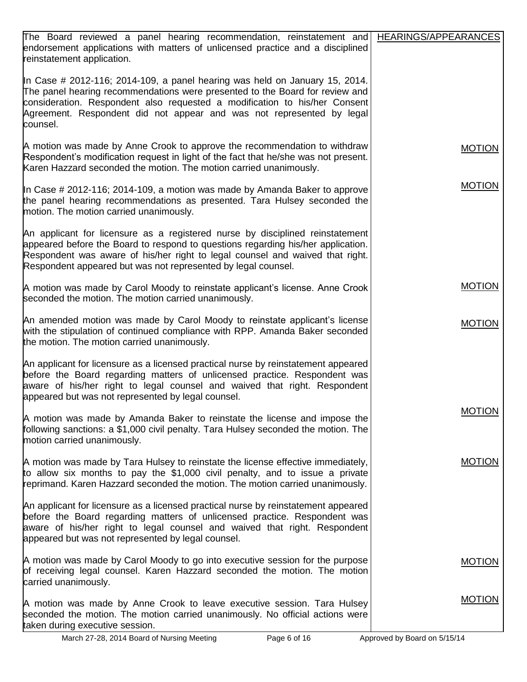| The Board reviewed a panel hearing recommendation, reinstatement and<br>endorsement applications with matters of unlicensed practice and a disciplined<br>reinstatement application.                                                                                                                                           | HEARINGS/APPEARANCES         |
|--------------------------------------------------------------------------------------------------------------------------------------------------------------------------------------------------------------------------------------------------------------------------------------------------------------------------------|------------------------------|
| In Case # 2012-116; 2014-109, a panel hearing was held on January 15, 2014.<br>The panel hearing recommendations were presented to the Board for review and<br>consideration. Respondent also requested a modification to his/her Consent<br>Agreement. Respondent did not appear and was not represented by legal<br>counsel. |                              |
| A motion was made by Anne Crook to approve the recommendation to withdraw<br>Respondent's modification request in light of the fact that he/she was not present.<br>Karen Hazzard seconded the motion. The motion carried unanimously.                                                                                         | <b>MOTION</b>                |
| In Case # 2012-116; 2014-109, a motion was made by Amanda Baker to approve<br>the panel hearing recommendations as presented. Tara Hulsey seconded the<br>motion. The motion carried unanimously.                                                                                                                              | <b>MOTION</b>                |
| An applicant for licensure as a registered nurse by disciplined reinstatement<br>appeared before the Board to respond to questions regarding his/her application.<br>Respondent was aware of his/her right to legal counsel and waived that right.<br>Respondent appeared but was not represented by legal counsel.            |                              |
| A motion was made by Carol Moody to reinstate applicant's license. Anne Crook<br>seconded the motion. The motion carried unanimously.                                                                                                                                                                                          | <b>MOTION</b>                |
| An amended motion was made by Carol Moody to reinstate applicant's license<br>with the stipulation of continued compliance with RPP. Amanda Baker seconded<br>the motion. The motion carried unanimously.                                                                                                                      | <b>MOTION</b>                |
| An applicant for licensure as a licensed practical nurse by reinstatement appeared<br>before the Board regarding matters of unlicensed practice. Respondent was<br>aware of his/her right to legal counsel and waived that right. Respondent<br>appeared but was not represented by legal counsel.                             |                              |
| A motion was made by Amanda Baker to reinstate the license and impose the<br>following sanctions: a \$1,000 civil penalty. Tara Hulsey seconded the motion. The<br>motion carried unanimously.                                                                                                                                 | <b>MOTION</b>                |
| A motion was made by Tara Hulsey to reinstate the license effective immediately,<br>to allow six months to pay the \$1,000 civil penalty, and to issue a private<br>reprimand. Karen Hazzard seconded the motion. The motion carried unanimously.                                                                              | <b>MOTION</b>                |
| An applicant for licensure as a licensed practical nurse by reinstatement appeared<br>before the Board regarding matters of unlicensed practice. Respondent was<br>aware of his/her right to legal counsel and waived that right. Respondent<br>appeared but was not represented by legal counsel.                             |                              |
| A motion was made by Carol Moody to go into executive session for the purpose<br>of receiving legal counsel. Karen Hazzard seconded the motion. The motion<br>carried unanimously.                                                                                                                                             | <b>MOTION</b>                |
| A motion was made by Anne Crook to leave executive session. Tara Hulsey<br>seconded the motion. The motion carried unanimously. No official actions were<br>taken during executive session.                                                                                                                                    | <b>MOTION</b>                |
| March 27-28, 2014 Board of Nursing Meeting<br>Page 6 of 16                                                                                                                                                                                                                                                                     | Approved by Board on 5/15/14 |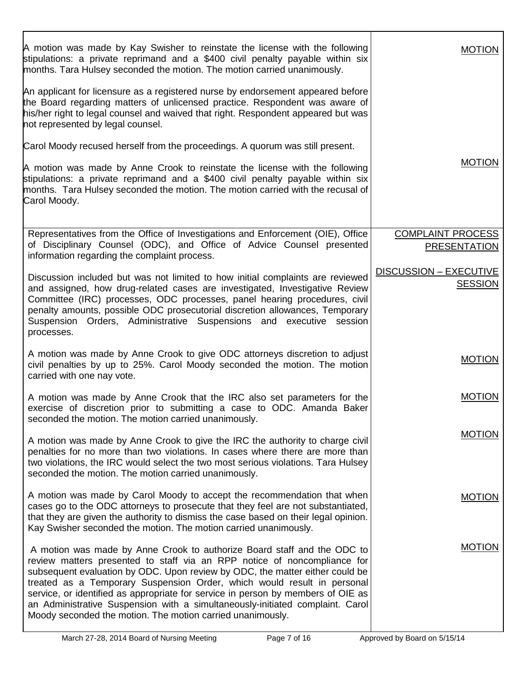| A motion was made by Kay Swisher to reinstate the license with the following<br>stipulations: a private reprimand and a \$400 civil penalty payable within six<br>months. Tara Hulsey seconded the motion. The motion carried unanimously.                                                                                                                                                                                                                                                                                                        | <b>MOTION</b>                                   |
|---------------------------------------------------------------------------------------------------------------------------------------------------------------------------------------------------------------------------------------------------------------------------------------------------------------------------------------------------------------------------------------------------------------------------------------------------------------------------------------------------------------------------------------------------|-------------------------------------------------|
| An applicant for licensure as a registered nurse by endorsement appeared before<br>the Board regarding matters of unlicensed practice. Respondent was aware of<br>his/her right to legal counsel and waived that right. Respondent appeared but was<br>not represented by legal counsel.                                                                                                                                                                                                                                                          |                                                 |
| Carol Moody recused herself from the proceedings. A quorum was still present.                                                                                                                                                                                                                                                                                                                                                                                                                                                                     |                                                 |
| A motion was made by Anne Crook to reinstate the license with the following<br>stipulations: a private reprimand and a \$400 civil penalty payable within six<br>months. Tara Hulsey seconded the motion. The motion carried with the recusal of<br>Carol Moody.                                                                                                                                                                                                                                                                                  | <b>MOTION</b>                                   |
| Representatives from the Office of Investigations and Enforcement (OIE), Office                                                                                                                                                                                                                                                                                                                                                                                                                                                                   | <b>COMPLAINT PROCESS</b>                        |
| of Disciplinary Counsel (ODC), and Office of Advice Counsel presented<br>information regarding the complaint process.                                                                                                                                                                                                                                                                                                                                                                                                                             | <b>PRESENTATION</b>                             |
| Discussion included but was not limited to how initial complaints are reviewed<br>and assigned, how drug-related cases are investigated, Investigative Review                                                                                                                                                                                                                                                                                                                                                                                     | <b>DISCUSSION - EXECUTIVE</b><br><b>SESSION</b> |
| Committee (IRC) processes, ODC processes, panel hearing procedures, civil<br>penalty amounts, possible ODC prosecutorial discretion allowances, Temporary<br>Suspension Orders, Administrative Suspensions and executive session<br>processes.                                                                                                                                                                                                                                                                                                    |                                                 |
| A motion was made by Anne Crook to give ODC attorneys discretion to adjust<br>civil penalties by up to 25%. Carol Moody seconded the motion. The motion<br>carried with one nay vote.                                                                                                                                                                                                                                                                                                                                                             | <b>MOTION</b>                                   |
| A motion was made by Anne Crook that the IRC also set parameters for the<br>exercise of discretion prior to submitting a case to ODC. Amanda Baker<br>seconded the motion. The motion carried unanimously.                                                                                                                                                                                                                                                                                                                                        | <b>MOTION</b>                                   |
| A motion was made by Anne Crook to give the IRC the authority to charge civil<br>penalties for no more than two violations. In cases where there are more than<br>two violations, the IRC would select the two most serious violations. Tara Hulsey<br>seconded the motion. The motion carried unanimously.                                                                                                                                                                                                                                       | <b>MOTION</b>                                   |
| A motion was made by Carol Moody to accept the recommendation that when<br>cases go to the ODC attorneys to prosecute that they feel are not substantiated,<br>that they are given the authority to dismiss the case based on their legal opinion.<br>Kay Swisher seconded the motion. The motion carried unanimously.                                                                                                                                                                                                                            | <b>MOTION</b>                                   |
| A motion was made by Anne Crook to authorize Board staff and the ODC to<br>review matters presented to staff via an RPP notice of noncompliance for<br>subsequent evaluation by ODC. Upon review by ODC, the matter either could be<br>treated as a Temporary Suspension Order, which would result in personal<br>service, or identified as appropriate for service in person by members of OIE as<br>an Administrative Suspension with a simultaneously-initiated complaint. Carol<br>Moody seconded the motion. The motion carried unanimously. | <b>MOTION</b>                                   |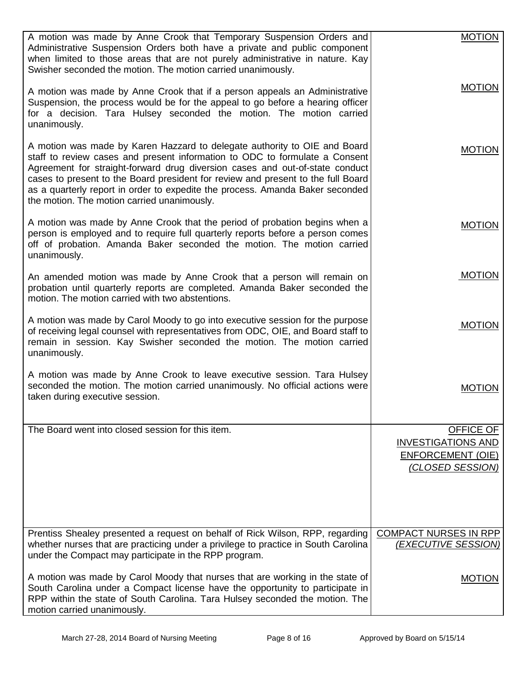| A motion was made by Anne Crook that Temporary Suspension Orders and<br>Administrative Suspension Orders both have a private and public component<br>when limited to those areas that are not purely administrative in nature. Kay<br>Swisher seconded the motion. The motion carried unanimously.                                                                                                                                                           | <b>MOTION</b>                                       |
|--------------------------------------------------------------------------------------------------------------------------------------------------------------------------------------------------------------------------------------------------------------------------------------------------------------------------------------------------------------------------------------------------------------------------------------------------------------|-----------------------------------------------------|
| A motion was made by Anne Crook that if a person appeals an Administrative<br>Suspension, the process would be for the appeal to go before a hearing officer<br>for a decision. Tara Hulsey seconded the motion. The motion carried<br>unanimously.                                                                                                                                                                                                          | <b>MOTION</b>                                       |
| A motion was made by Karen Hazzard to delegate authority to OIE and Board<br>staff to review cases and present information to ODC to formulate a Consent<br>Agreement for straight-forward drug diversion cases and out-of-state conduct<br>cases to present to the Board president for review and present to the full Board<br>as a quarterly report in order to expedite the process. Amanda Baker seconded<br>the motion. The motion carried unanimously. | <b>MOTION</b>                                       |
| A motion was made by Anne Crook that the period of probation begins when a<br>person is employed and to require full quarterly reports before a person comes<br>off of probation. Amanda Baker seconded the motion. The motion carried<br>unanimously.                                                                                                                                                                                                       | <b>MOTION</b>                                       |
| An amended motion was made by Anne Crook that a person will remain on<br>probation until quarterly reports are completed. Amanda Baker seconded the<br>motion. The motion carried with two abstentions.                                                                                                                                                                                                                                                      | <b>MOTION</b>                                       |
| A motion was made by Carol Moody to go into executive session for the purpose<br>of receiving legal counsel with representatives from ODC, OIE, and Board staff to<br>remain in session. Kay Swisher seconded the motion. The motion carried<br>unanimously.                                                                                                                                                                                                 | <b>MOTION</b>                                       |
| A motion was made by Anne Crook to leave executive session. Tara Hulsey<br>seconded the motion. The motion carried unanimously. No official actions were<br>taken during executive session.                                                                                                                                                                                                                                                                  | <b>MOTION</b>                                       |
| The Board went into closed session for this item.                                                                                                                                                                                                                                                                                                                                                                                                            | <b>OFFICE OF</b>                                    |
|                                                                                                                                                                                                                                                                                                                                                                                                                                                              | <b>INVESTIGATIONS AND</b>                           |
|                                                                                                                                                                                                                                                                                                                                                                                                                                                              | <b>ENFORCEMENT (OIE)</b><br>(CLOSED SESSION)        |
|                                                                                                                                                                                                                                                                                                                                                                                                                                                              |                                                     |
| Prentiss Shealey presented a request on behalf of Rick Wilson, RPP, regarding<br>whether nurses that are practicing under a privilege to practice in South Carolina<br>under the Compact may participate in the RPP program.                                                                                                                                                                                                                                 | <b>COMPACT NURSES IN RPP</b><br>(EXECUTIVE SESSION) |
| A motion was made by Carol Moody that nurses that are working in the state of<br>South Carolina under a Compact license have the opportunity to participate in<br>RPP within the state of South Carolina. Tara Hulsey seconded the motion. The<br>motion carried unanimously.                                                                                                                                                                                | <b>MOTION</b>                                       |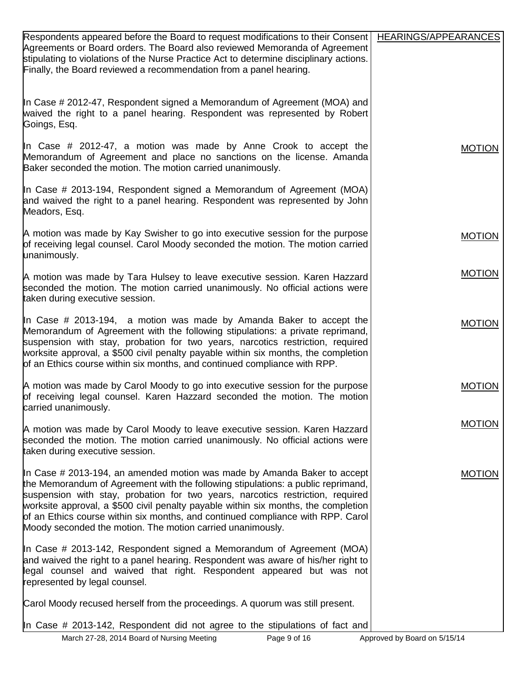| Respondents appeared before the Board to request modifications to their Consent<br>Agreements or Board orders. The Board also reviewed Memoranda of Agreement<br>stipulating to violations of the Nurse Practice Act to determine disciplinary actions.<br>Finally, the Board reviewed a recommendation from a panel hearing.                                                                                                                                                         | HEARINGS/APPEARANCES |
|---------------------------------------------------------------------------------------------------------------------------------------------------------------------------------------------------------------------------------------------------------------------------------------------------------------------------------------------------------------------------------------------------------------------------------------------------------------------------------------|----------------------|
| In Case # 2012-47, Respondent signed a Memorandum of Agreement (MOA) and<br>waived the right to a panel hearing. Respondent was represented by Robert<br>Goings, Esq.                                                                                                                                                                                                                                                                                                                 |                      |
| In Case # 2012-47, a motion was made by Anne Crook to accept the<br>Memorandum of Agreement and place no sanctions on the license. Amanda<br>Baker seconded the motion. The motion carried unanimously.                                                                                                                                                                                                                                                                               | <b>MOTION</b>        |
| In Case # 2013-194, Respondent signed a Memorandum of Agreement (MOA)<br>and waived the right to a panel hearing. Respondent was represented by John<br>Meadors, Esq.                                                                                                                                                                                                                                                                                                                 |                      |
| A motion was made by Kay Swisher to go into executive session for the purpose<br>of receiving legal counsel. Carol Moody seconded the motion. The motion carried<br>unanimously.                                                                                                                                                                                                                                                                                                      | <b>MOTION</b>        |
| A motion was made by Tara Hulsey to leave executive session. Karen Hazzard<br>seconded the motion. The motion carried unanimously. No official actions were<br>taken during executive session.                                                                                                                                                                                                                                                                                        | <b>MOTION</b>        |
| In Case # 2013-194, a motion was made by Amanda Baker to accept the<br>Memorandum of Agreement with the following stipulations: a private reprimand,<br>suspension with stay, probation for two years, narcotics restriction, required<br>worksite approval, a \$500 civil penalty payable within six months, the completion<br>of an Ethics course within six months, and continued compliance with RPP.                                                                             | <b>MOTION</b>        |
| A motion was made by Carol Moody to go into executive session for the purpose<br>of receiving legal counsel. Karen Hazzard seconded the motion. The motion<br>carried unanimously.                                                                                                                                                                                                                                                                                                    | <b>MOTION</b>        |
| A motion was made by Carol Moody to leave executive session. Karen Hazzard<br>seconded the motion. The motion carried unanimously. No official actions were<br>taken during executive session.                                                                                                                                                                                                                                                                                        | <b>MOTION</b>        |
| In Case # 2013-194, an amended motion was made by Amanda Baker to accept<br>the Memorandum of Agreement with the following stipulations: a public reprimand,<br>suspension with stay, probation for two years, narcotics restriction, required<br>worksite approval, a \$500 civil penalty payable within six months, the completion<br>of an Ethics course within six months, and continued compliance with RPP. Carol<br>Moody seconded the motion. The motion carried unanimously. | <b>MOTION</b>        |
| In Case # 2013-142, Respondent signed a Memorandum of Agreement (MOA)<br>and waived the right to a panel hearing. Respondent was aware of his/her right to<br>legal counsel and waived that right. Respondent appeared but was not<br>represented by legal counsel.                                                                                                                                                                                                                   |                      |
| Carol Moody recused herself from the proceedings. A quorum was still present.                                                                                                                                                                                                                                                                                                                                                                                                         |                      |
| In Case # 2013-142, Respondent did not agree to the stipulations of fact and                                                                                                                                                                                                                                                                                                                                                                                                          |                      |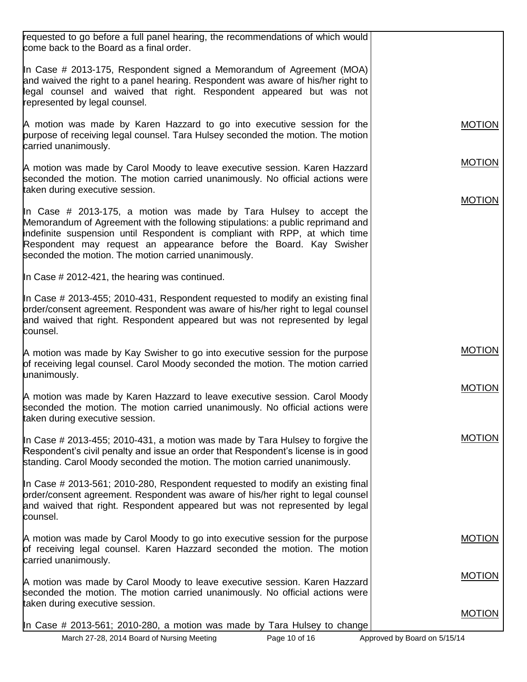| requested to go before a full panel hearing, the recommendations of which would<br>come back to the Board as a final order.                                                                                                                                                                                                                                        |               |
|--------------------------------------------------------------------------------------------------------------------------------------------------------------------------------------------------------------------------------------------------------------------------------------------------------------------------------------------------------------------|---------------|
| In Case # 2013-175, Respondent signed a Memorandum of Agreement (MOA)<br>and waived the right to a panel hearing. Respondent was aware of his/her right to<br>legal counsel and waived that right. Respondent appeared but was not<br>represented by legal counsel.                                                                                                |               |
| A motion was made by Karen Hazzard to go into executive session for the<br>purpose of receiving legal counsel. Tara Hulsey seconded the motion. The motion<br>carried unanimously.                                                                                                                                                                                 | <b>MOTION</b> |
| A motion was made by Carol Moody to leave executive session. Karen Hazzard<br>seconded the motion. The motion carried unanimously. No official actions were<br>taken during executive session.                                                                                                                                                                     | <b>MOTION</b> |
| In Case # 2013-175, a motion was made by Tara Hulsey to accept the<br>Memorandum of Agreement with the following stipulations: a public reprimand and<br>indefinite suspension until Respondent is compliant with RPP, at which time<br>Respondent may request an appearance before the Board. Kay Swisher<br>seconded the motion. The motion carried unanimously. | <b>MOTION</b> |
| In Case $\#$ 2012-421, the hearing was continued.                                                                                                                                                                                                                                                                                                                  |               |
| In Case # 2013-455; 2010-431, Respondent requested to modify an existing final<br>order/consent agreement. Respondent was aware of his/her right to legal counsel<br>and waived that right. Respondent appeared but was not represented by legal<br>counsel.                                                                                                       |               |
| A motion was made by Kay Swisher to go into executive session for the purpose<br>of receiving legal counsel. Carol Moody seconded the motion. The motion carried<br>unanimously.                                                                                                                                                                                   | <b>MOTION</b> |
| A motion was made by Karen Hazzard to leave executive session. Carol Moody<br>seconded the motion. The motion carried unanimously. No official actions were<br>taken during executive session.                                                                                                                                                                     | <b>MOTION</b> |
| In Case # 2013-455; 2010-431, a motion was made by Tara Hulsey to forgive the<br>Respondent's civil penalty and issue an order that Respondent's license is in good<br>standing. Carol Moody seconded the motion. The motion carried unanimously.                                                                                                                  | <b>MOTION</b> |
| In Case # 2013-561; 2010-280, Respondent requested to modify an existing final<br>order/consent agreement. Respondent was aware of his/her right to legal counsel<br>and waived that right. Respondent appeared but was not represented by legal<br>counsel.                                                                                                       |               |
| A motion was made by Carol Moody to go into executive session for the purpose<br>of receiving legal counsel. Karen Hazzard seconded the motion. The motion<br>carried unanimously.                                                                                                                                                                                 | <b>MOTION</b> |
| A motion was made by Carol Moody to leave executive session. Karen Hazzard<br>seconded the motion. The motion carried unanimously. No official actions were<br>taken during executive session.                                                                                                                                                                     | <b>MOTION</b> |
| In Case # 2013-561; 2010-280, a motion was made by Tara Hulsey to change                                                                                                                                                                                                                                                                                           | <b>MOTION</b> |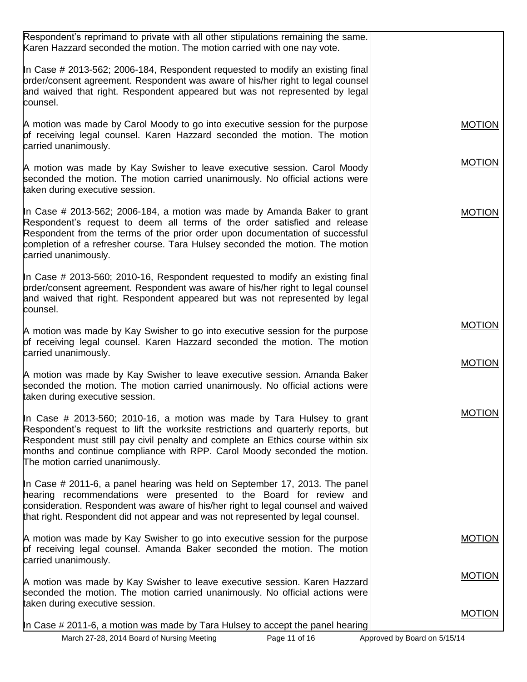| Respondent's reprimand to private with all other stipulations remaining the same.<br>Karen Hazzard seconded the motion. The motion carried with one nay vote.                                                                                                                                                                                                   |               |
|-----------------------------------------------------------------------------------------------------------------------------------------------------------------------------------------------------------------------------------------------------------------------------------------------------------------------------------------------------------------|---------------|
| In Case # 2013-562; 2006-184, Respondent requested to modify an existing final<br>order/consent agreement. Respondent was aware of his/her right to legal counsel<br>and waived that right. Respondent appeared but was not represented by legal<br>counsel.                                                                                                    |               |
| A motion was made by Carol Moody to go into executive session for the purpose<br>of receiving legal counsel. Karen Hazzard seconded the motion. The motion<br>carried unanimously.                                                                                                                                                                              | <b>MOTION</b> |
| A motion was made by Kay Swisher to leave executive session. Carol Moody<br>seconded the motion. The motion carried unanimously. No official actions were<br>taken during executive session.                                                                                                                                                                    | <b>MOTION</b> |
| In Case # 2013-562; 2006-184, a motion was made by Amanda Baker to grant<br>Respondent's request to deem all terms of the order satisfied and release<br>Respondent from the terms of the prior order upon documentation of successful<br>completion of a refresher course. Tara Hulsey seconded the motion. The motion<br>carried unanimously.                 | <b>MOTION</b> |
| In Case # 2013-560; 2010-16, Respondent requested to modify an existing final<br>order/consent agreement. Respondent was aware of his/her right to legal counsel<br>and waived that right. Respondent appeared but was not represented by legal<br>counsel.                                                                                                     |               |
| A motion was made by Kay Swisher to go into executive session for the purpose<br>of receiving legal counsel. Karen Hazzard seconded the motion. The motion<br>carried unanimously.                                                                                                                                                                              | <b>MOTION</b> |
| A motion was made by Kay Swisher to leave executive session. Amanda Baker<br>seconded the motion. The motion carried unanimously. No official actions were<br>taken during executive session.                                                                                                                                                                   | <b>MOTION</b> |
| In Case # 2013-560; 2010-16, a motion was made by Tara Hulsey to grant<br>Respondent's request to lift the worksite restrictions and quarterly reports, but<br>Respondent must still pay civil penalty and complete an Ethics course within six<br>months and continue compliance with RPP. Carol Moody seconded the motion.<br>The motion carried unanimously. | <b>MOTION</b> |
| In Case # 2011-6, a panel hearing was held on September 17, 2013. The panel<br>hearing recommendations were presented to the Board for review and<br>consideration. Respondent was aware of his/her right to legal counsel and waived<br>that right. Respondent did not appear and was not represented by legal counsel.                                        |               |
| A motion was made by Kay Swisher to go into executive session for the purpose<br>of receiving legal counsel. Amanda Baker seconded the motion. The motion<br>carried unanimously.                                                                                                                                                                               | <b>MOTION</b> |
| A motion was made by Kay Swisher to leave executive session. Karen Hazzard<br>seconded the motion. The motion carried unanimously. No official actions were<br>taken during executive session.                                                                                                                                                                  | <b>MOTION</b> |
| In Case # 2011-6, a motion was made by Tara Hulsey to accept the panel hearing                                                                                                                                                                                                                                                                                  | <b>MOTION</b> |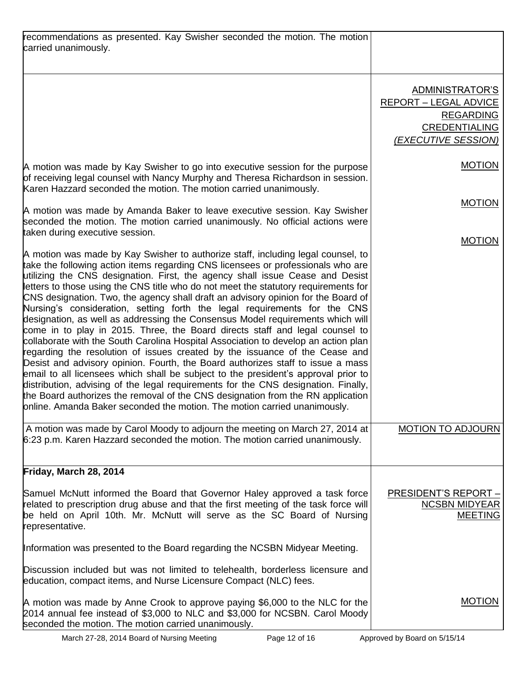| recommendations as presented. Kay Swisher seconded the motion. The motion<br>carried unanimously.                                                                                                                                                                                                                                                                                                                                                                                                                                                                                                                                                                                                                                                                                                                                                                                                                                                                                                                                                                                                                                                                                                                                                                                    |                                                                                                                    |
|--------------------------------------------------------------------------------------------------------------------------------------------------------------------------------------------------------------------------------------------------------------------------------------------------------------------------------------------------------------------------------------------------------------------------------------------------------------------------------------------------------------------------------------------------------------------------------------------------------------------------------------------------------------------------------------------------------------------------------------------------------------------------------------------------------------------------------------------------------------------------------------------------------------------------------------------------------------------------------------------------------------------------------------------------------------------------------------------------------------------------------------------------------------------------------------------------------------------------------------------------------------------------------------|--------------------------------------------------------------------------------------------------------------------|
|                                                                                                                                                                                                                                                                                                                                                                                                                                                                                                                                                                                                                                                                                                                                                                                                                                                                                                                                                                                                                                                                                                                                                                                                                                                                                      | ADMINISTRATOR'S<br><b>REPORT - LEGAL ADVICE</b><br><b>REGARDING</b><br><b>CREDENTIALING</b><br>(EXECUTIVE SESSION) |
| A motion was made by Kay Swisher to go into executive session for the purpose<br>of receiving legal counsel with Nancy Murphy and Theresa Richardson in session.<br>Karen Hazzard seconded the motion. The motion carried unanimously.                                                                                                                                                                                                                                                                                                                                                                                                                                                                                                                                                                                                                                                                                                                                                                                                                                                                                                                                                                                                                                               | <b>MOTION</b>                                                                                                      |
| A motion was made by Amanda Baker to leave executive session. Kay Swisher<br>seconded the motion. The motion carried unanimously. No official actions were<br>taken during executive session.                                                                                                                                                                                                                                                                                                                                                                                                                                                                                                                                                                                                                                                                                                                                                                                                                                                                                                                                                                                                                                                                                        | <b>MOTION</b>                                                                                                      |
| A motion was made by Kay Swisher to authorize staff, including legal counsel, to<br>take the following action items regarding CNS licensees or professionals who are<br>utilizing the CNS designation. First, the agency shall issue Cease and Desist<br>letters to those using the CNS title who do not meet the statutory requirements for<br>CNS designation. Two, the agency shall draft an advisory opinion for the Board of<br>Nursing's consideration, setting forth the legal requirements for the CNS<br>designation, as well as addressing the Consensus Model requirements which will<br>come in to play in 2015. Three, the Board directs staff and legal counsel to<br>collaborate with the South Carolina Hospital Association to develop an action plan<br>regarding the resolution of issues created by the issuance of the Cease and<br>Desist and advisory opinion. Fourth, the Board authorizes staff to issue a mass<br>email to all licensees which shall be subject to the president's approval prior to<br>distribution, advising of the legal requirements for the CNS designation. Finally,<br>the Board authorizes the removal of the CNS designation from the RN application<br>online. Amanda Baker seconded the motion. The motion carried unanimously. | <b>MOTION</b>                                                                                                      |
| A motion was made by Carol Moody to adjourn the meeting on March 27, 2014 at<br>6:23 p.m. Karen Hazzard seconded the motion. The motion carried unanimously.                                                                                                                                                                                                                                                                                                                                                                                                                                                                                                                                                                                                                                                                                                                                                                                                                                                                                                                                                                                                                                                                                                                         | <b>MOTION TO ADJOURN</b>                                                                                           |
| Friday, March 28, 2014                                                                                                                                                                                                                                                                                                                                                                                                                                                                                                                                                                                                                                                                                                                                                                                                                                                                                                                                                                                                                                                                                                                                                                                                                                                               |                                                                                                                    |
| Samuel McNutt informed the Board that Governor Haley approved a task force<br>related to prescription drug abuse and that the first meeting of the task force will<br>be held on April 10th. Mr. McNutt will serve as the SC Board of Nursing<br>representative.                                                                                                                                                                                                                                                                                                                                                                                                                                                                                                                                                                                                                                                                                                                                                                                                                                                                                                                                                                                                                     | <b>PRESIDENT'S REPORT -</b><br><b>NCSBN MIDYEAR</b><br><b>MEETING</b>                                              |
| Information was presented to the Board regarding the NCSBN Midyear Meeting.                                                                                                                                                                                                                                                                                                                                                                                                                                                                                                                                                                                                                                                                                                                                                                                                                                                                                                                                                                                                                                                                                                                                                                                                          |                                                                                                                    |
| Discussion included but was not limited to telehealth, borderless licensure and<br>education, compact items, and Nurse Licensure Compact (NLC) fees.                                                                                                                                                                                                                                                                                                                                                                                                                                                                                                                                                                                                                                                                                                                                                                                                                                                                                                                                                                                                                                                                                                                                 |                                                                                                                    |
| A motion was made by Anne Crook to approve paying \$6,000 to the NLC for the<br>2014 annual fee instead of \$3,000 to NLC and \$3,000 for NCSBN. Carol Moody<br>seconded the motion. The motion carried unanimously.                                                                                                                                                                                                                                                                                                                                                                                                                                                                                                                                                                                                                                                                                                                                                                                                                                                                                                                                                                                                                                                                 | <b>MOTION</b>                                                                                                      |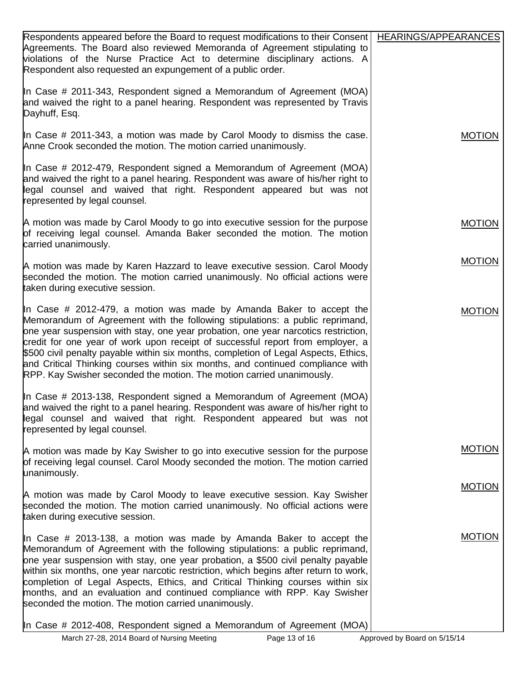| Respondents appeared before the Board to request modifications to their Consent   HEARINGS/APPEARANCES<br>Agreements. The Board also reviewed Memoranda of Agreement stipulating to                                                                                                                                                                                                                                                                                                                                                                                           |               |
|-------------------------------------------------------------------------------------------------------------------------------------------------------------------------------------------------------------------------------------------------------------------------------------------------------------------------------------------------------------------------------------------------------------------------------------------------------------------------------------------------------------------------------------------------------------------------------|---------------|
| violations of the Nurse Practice Act to determine disciplinary actions. A<br>Respondent also requested an expungement of a public order.                                                                                                                                                                                                                                                                                                                                                                                                                                      |               |
| In Case # 2011-343, Respondent signed a Memorandum of Agreement (MOA)<br>and waived the right to a panel hearing. Respondent was represented by Travis<br>Dayhuff, Esq.                                                                                                                                                                                                                                                                                                                                                                                                       |               |
| In Case # 2011-343, a motion was made by Carol Moody to dismiss the case.<br>Anne Crook seconded the motion. The motion carried unanimously.                                                                                                                                                                                                                                                                                                                                                                                                                                  | <b>MOTION</b> |
| In Case # 2012-479, Respondent signed a Memorandum of Agreement (MOA)<br>and waived the right to a panel hearing. Respondent was aware of his/her right to<br>legal counsel and waived that right. Respondent appeared but was not<br>represented by legal counsel.                                                                                                                                                                                                                                                                                                           |               |
| A motion was made by Carol Moody to go into executive session for the purpose<br>of receiving legal counsel. Amanda Baker seconded the motion. The motion<br>carried unanimously.                                                                                                                                                                                                                                                                                                                                                                                             | <b>MOTION</b> |
| A motion was made by Karen Hazzard to leave executive session. Carol Moody<br>seconded the motion. The motion carried unanimously. No official actions were<br>taken during executive session.                                                                                                                                                                                                                                                                                                                                                                                | <b>MOTION</b> |
| In Case # 2012-479, a motion was made by Amanda Baker to accept the<br>Memorandum of Agreement with the following stipulations: a public reprimand,<br>one year suspension with stay, one year probation, one year narcotics restriction,<br>credit for one year of work upon receipt of successful report from employer, a<br>\$500 civil penalty payable within six months, completion of Legal Aspects, Ethics,<br>and Critical Thinking courses within six months, and continued compliance with<br>RPP. Kay Swisher seconded the motion. The motion carried unanimously. | <b>MOTION</b> |
| In Case # 2013-138, Respondent signed a Memorandum of Agreement (MOA)<br>and waived the right to a panel hearing. Respondent was aware of his/her right to<br>legal counsel and waived that right. Respondent appeared but was not<br>represented by legal counsel.                                                                                                                                                                                                                                                                                                           |               |
| A motion was made by Kay Swisher to go into executive session for the purpose<br>of receiving legal counsel. Carol Moody seconded the motion. The motion carried<br>unanimously.                                                                                                                                                                                                                                                                                                                                                                                              | <b>MOTION</b> |
| A motion was made by Carol Moody to leave executive session. Kay Swisher<br>seconded the motion. The motion carried unanimously. No official actions were<br>taken during executive session.                                                                                                                                                                                                                                                                                                                                                                                  | <b>MOTION</b> |
| In Case # 2013-138, a motion was made by Amanda Baker to accept the<br>Memorandum of Agreement with the following stipulations: a public reprimand,<br>one year suspension with stay, one year probation, a \$500 civil penalty payable<br>within six months, one year narcotic restriction, which begins after return to work,<br>completion of Legal Aspects, Ethics, and Critical Thinking courses within six<br>months, and an evaluation and continued compliance with RPP. Kay Swisher<br>seconded the motion. The motion carried unanimously.                          | <b>MOTION</b> |
| In Case # 2012-408, Respondent signed a Memorandum of Agreement (MOA)                                                                                                                                                                                                                                                                                                                                                                                                                                                                                                         |               |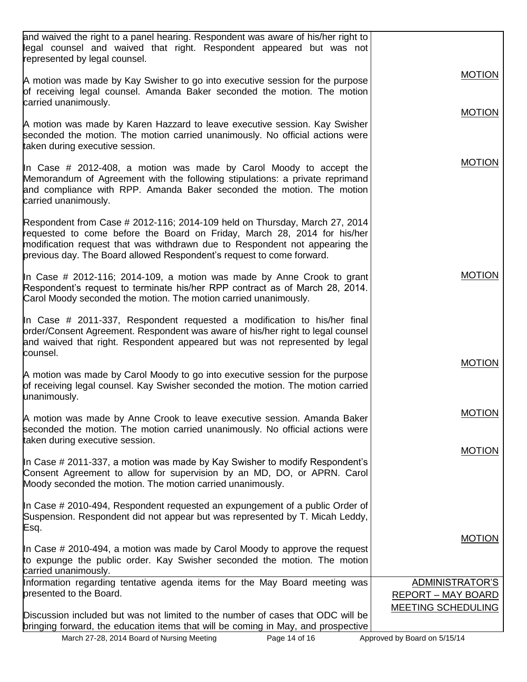| <b>MOTION</b><br>carried unanimously.<br><b>MOTION</b><br><b>MOTION</b><br><b>MOTION</b><br><b>MOTION</b><br><b>MOTION</b><br>taken during executive session.<br><b>MOTION</b><br><b>MOTION</b><br>Information regarding tentative agenda items for the May Board meeting was<br>ADMINISTRATOR'S<br>presented to the Board.<br><b>REPORT - MAY BOARD</b><br>MEETING SCHEDULING<br>Discussion included but was not limited to the number of cases that ODC will be |                                                                                                                                                                                                                                                                                                                |  |
|-------------------------------------------------------------------------------------------------------------------------------------------------------------------------------------------------------------------------------------------------------------------------------------------------------------------------------------------------------------------------------------------------------------------------------------------------------------------|----------------------------------------------------------------------------------------------------------------------------------------------------------------------------------------------------------------------------------------------------------------------------------------------------------------|--|
|                                                                                                                                                                                                                                                                                                                                                                                                                                                                   | and waived the right to a panel hearing. Respondent was aware of his/her right to<br>legal counsel and waived that right. Respondent appeared but was not<br>represented by legal counsel.                                                                                                                     |  |
|                                                                                                                                                                                                                                                                                                                                                                                                                                                                   | A motion was made by Kay Swisher to go into executive session for the purpose<br>of receiving legal counsel. Amanda Baker seconded the motion. The motion                                                                                                                                                      |  |
|                                                                                                                                                                                                                                                                                                                                                                                                                                                                   |                                                                                                                                                                                                                                                                                                                |  |
|                                                                                                                                                                                                                                                                                                                                                                                                                                                                   | A motion was made by Karen Hazzard to leave executive session. Kay Swisher<br>seconded the motion. The motion carried unanimously. No official actions were<br>taken during executive session.                                                                                                                 |  |
|                                                                                                                                                                                                                                                                                                                                                                                                                                                                   | In Case # 2012-408, a motion was made by Carol Moody to accept the<br>Memorandum of Agreement with the following stipulations: a private reprimand<br>and compliance with RPP. Amanda Baker seconded the motion. The motion<br>carried unanimously.                                                            |  |
|                                                                                                                                                                                                                                                                                                                                                                                                                                                                   | Respondent from Case # 2012-116; 2014-109 held on Thursday, March 27, 2014<br>requested to come before the Board on Friday, March 28, 2014 for his/her<br>modification request that was withdrawn due to Respondent not appearing the<br>previous day. The Board allowed Respondent's request to come forward. |  |
|                                                                                                                                                                                                                                                                                                                                                                                                                                                                   | In Case # 2012-116; 2014-109, a motion was made by Anne Crook to grant<br>Respondent's request to terminate his/her RPP contract as of March 28, 2014.<br>Carol Moody seconded the motion. The motion carried unanimously.                                                                                     |  |
|                                                                                                                                                                                                                                                                                                                                                                                                                                                                   | In Case # 2011-337, Respondent requested a modification to his/her final<br>order/Consent Agreement. Respondent was aware of his/her right to legal counsel<br>and waived that right. Respondent appeared but was not represented by legal<br>counsel.                                                         |  |
|                                                                                                                                                                                                                                                                                                                                                                                                                                                                   | A motion was made by Carol Moody to go into executive session for the purpose<br>of receiving legal counsel. Kay Swisher seconded the motion. The motion carried<br>unanimously.                                                                                                                               |  |
|                                                                                                                                                                                                                                                                                                                                                                                                                                                                   | A motion was made by Anne Crook to leave executive session. Amanda Baker<br>seconded the motion. The motion carried unanimously. No official actions were                                                                                                                                                      |  |
|                                                                                                                                                                                                                                                                                                                                                                                                                                                                   | In Case # 2011-337, a motion was made by Kay Swisher to modify Respondent's<br>Consent Agreement to allow for supervision by an MD, DO, or APRN. Carol<br>Moody seconded the motion. The motion carried unanimously.                                                                                           |  |
|                                                                                                                                                                                                                                                                                                                                                                                                                                                                   | In Case # 2010-494, Respondent requested an expungement of a public Order of<br>Suspension. Respondent did not appear but was represented by T. Micah Leddy,<br>Esq.                                                                                                                                           |  |
|                                                                                                                                                                                                                                                                                                                                                                                                                                                                   | In Case # 2010-494, a motion was made by Carol Moody to approve the request<br>to expunge the public order. Kay Swisher seconded the motion. The motion<br>carried unanimously.                                                                                                                                |  |
|                                                                                                                                                                                                                                                                                                                                                                                                                                                                   |                                                                                                                                                                                                                                                                                                                |  |
|                                                                                                                                                                                                                                                                                                                                                                                                                                                                   |                                                                                                                                                                                                                                                                                                                |  |
|                                                                                                                                                                                                                                                                                                                                                                                                                                                                   | bringing forward, the education items that will be coming in May, and prospective                                                                                                                                                                                                                              |  |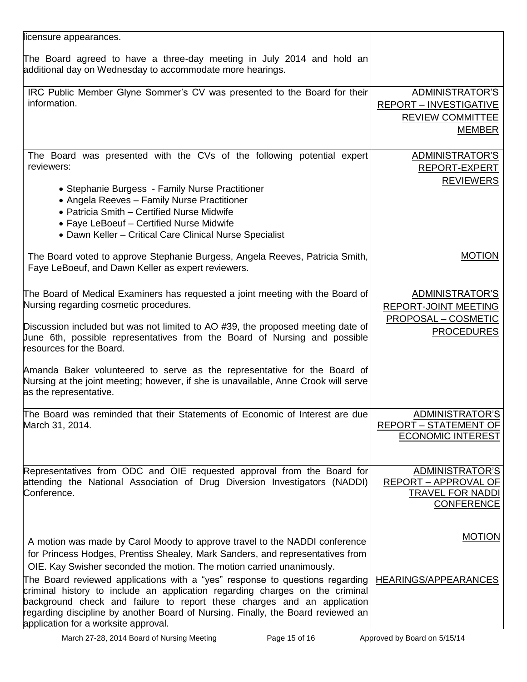| licensure appearances.                                                                                                                                                                                                                                                                                                                                                                                                                                                                                            |                                                                                                   |
|-------------------------------------------------------------------------------------------------------------------------------------------------------------------------------------------------------------------------------------------------------------------------------------------------------------------------------------------------------------------------------------------------------------------------------------------------------------------------------------------------------------------|---------------------------------------------------------------------------------------------------|
| The Board agreed to have a three-day meeting in July 2014 and hold an<br>additional day on Wednesday to accommodate more hearings.                                                                                                                                                                                                                                                                                                                                                                                |                                                                                                   |
| IRC Public Member Glyne Sommer's CV was presented to the Board for their<br>information.                                                                                                                                                                                                                                                                                                                                                                                                                          | ADMINISTRATOR'S<br><b>REPORT - INVESTIGATIVE</b><br><b>REVIEW COMMITTEE</b><br><b>MEMBER</b>      |
| The Board was presented with the CVs of the following potential expert<br>reviewers:<br>• Stephanie Burgess - Family Nurse Practitioner<br>• Angela Reeves - Family Nurse Practitioner<br>• Patricia Smith - Certified Nurse Midwife<br>• Faye LeBoeuf - Certified Nurse Midwife<br>• Dawn Keller - Critical Care Clinical Nurse Specialist                                                                                                                                                                       | ADMINISTRATOR'S<br>REPORT-EXPERT<br><b>REVIEWERS</b>                                              |
| The Board voted to approve Stephanie Burgess, Angela Reeves, Patricia Smith,<br>Faye LeBoeuf, and Dawn Keller as expert reviewers.                                                                                                                                                                                                                                                                                                                                                                                | <b>MOTION</b>                                                                                     |
| The Board of Medical Examiners has requested a joint meeting with the Board of<br>Nursing regarding cosmetic procedures.<br>Discussion included but was not limited to AO #39, the proposed meeting date of<br>Uune 6th, possible representatives from the Board of Nursing and possible<br>resources for the Board.<br>Amanda Baker volunteered to serve as the representative for the Board of<br>Nursing at the joint meeting; however, if she is unavailable, Anne Crook will serve<br>as the representative. | ADMINISTRATOR'S<br><b>REPORT-JOINT MEETING</b><br><b>PROPOSAL - COSMETIC</b><br><b>PROCEDURES</b> |
| The Board was reminded that their Statements of Economic of Interest are due<br>March 31, 2014.                                                                                                                                                                                                                                                                                                                                                                                                                   | ADMINISTRATOR'S<br><b>REPORT - STATEMENT OF</b><br><b>ECONOMIC INTEREST</b>                       |
| Representatives from ODC and OIE requested approval from the Board for<br>attending the National Association of Drug Diversion Investigators (NADDI)<br>Conference.                                                                                                                                                                                                                                                                                                                                               | ADMINISTRATOR'S<br>REPORT - APPROVAL OF<br><b>TRAVEL FOR NADDI</b><br><b>CONFERENCE</b>           |
| A motion was made by Carol Moody to approve travel to the NADDI conference<br>for Princess Hodges, Prentiss Shealey, Mark Sanders, and representatives from<br>OIE. Kay Swisher seconded the motion. The motion carried unanimously.                                                                                                                                                                                                                                                                              | <b>MOTION</b>                                                                                     |
| The Board reviewed applications with a "yes" response to questions regarding<br>criminal history to include an application regarding charges on the criminal<br>background check and failure to report these charges and an application<br>regarding discipline by another Board of Nursing. Finally, the Board reviewed an<br>application for a worksite approval.                                                                                                                                               | <b>HEARINGS/APPEARANCES</b>                                                                       |